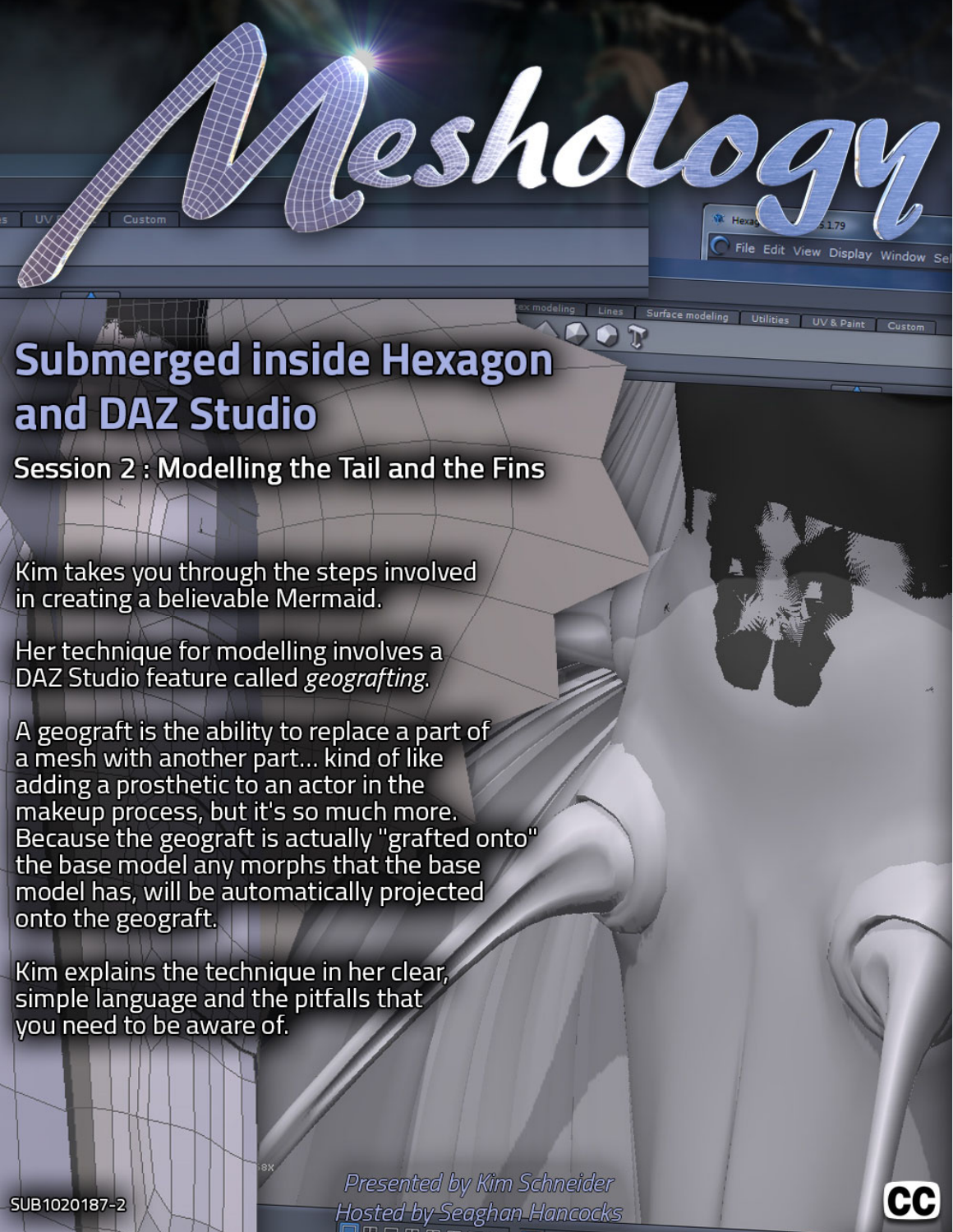

Editing the Daz Studio Database to

Kim takes you through the steps involved in creating a believable Mermaid.

Her technique for modelling involves a DAZ Studio feature called geografting.

A geograft is the ability to replace a part of a mesh with another part... kind of like<br>adding a prosthetic to an actor in the makeup process, but it's so much more. Because the geograft is actually "grafted onto"<br>the base model any morphs that the base model has, will be automatically projected bonus content, a complicated model of Kim Schneider's, her onto the geograft.

Kim explains the technique in her clear, simple language and the pitfalls that you need to be aware of.

> Presented by Kim Schneider **Hosted by Seaghan Hancocks**

If you're a Daz Studio User or Creator, this is the definitive work

put your content into the Smart

esholog

*Presented by Seaghan Hosted by Kim Schneider*

on properly cataloguing your content.

multipart *Sylph Dress.* 

File Edit View Display Window Se

SUB1020187-2

 $\Box$